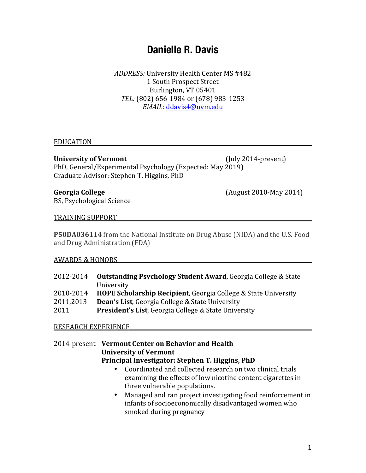# **Danielle R. Davis**

*ADDRESS:* University Health Center MS #482 1 South Prospect Street Burlington, VT 05401 TEL: (802) 656-1984 or (678) 983-1253 *EMAIL:* ddavis4@uvm.edu

#### EDUCATION

University of Vermont (July 2014-present) PhD, General/Experimental Psychology (Expected: May 2019)

Georgia College **Georgia** College **College** (August 2010-May 2014)

BS, Psychological Science

Graduate Advisor: Stephen T. Higgins, PhD

#### TRAINING SUPPORT

**P50DA036114** from the National Institute on Drug Abuse (NIDA) and the U.S. Food and Drug Administration (FDA)

#### AWARDS & HONORS

| 2012-2014 | <b>Outstanding Psychology Student Award, Georgia College &amp; State</b>  |
|-----------|---------------------------------------------------------------------------|
|           | University                                                                |
| 2010-2014 | <b>HOPE Scholarship Recipient, Georgia College &amp; State University</b> |
| 2011,2013 | <b>Dean's List, Georgia College &amp; State University</b>                |
| 2011      | <b>President's List, Georgia College &amp; State University</b>           |
|           |                                                                           |

#### RESEARCH EXPERIENCE

# 2014-present Vermont Center on Behavior and Health **University of Vermont Principal Investigator: Stephen T. Higgins, PhD**

- Coordinated and collected research on two clinical trials examining the effects of low nicotine content cigarettes in three vulnerable populations.
- Managed and ran project investigating food reinforcement in infants of socioeconomically disadvantaged women who smoked during pregnancy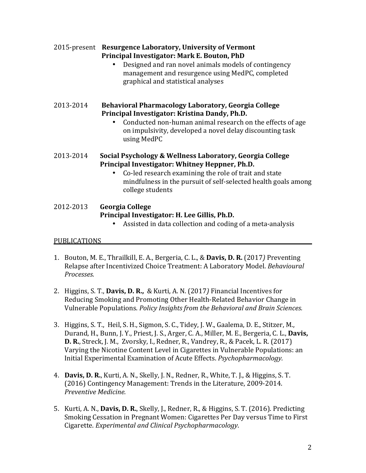# 2015-present **Resurgence Laboratory, University of Vermont** Principal Investigator: Mark E. Bouton, PhD

• Designed and ran novel animals models of contingency management and resurgence using MedPC, completed graphical and statistical analyses

# 2013-2014 **Behavioral Pharmacology Laboratory, Georgia College** Principal Investigator: Kristina Dandy, Ph.D.

- Conducted non-human animal research on the effects of age on impulsivity, developed a novel delay discounting task using MedPC
- 2013-2014 **Social Psychology & Wellness Laboratory, Georgia College** Principal Investigator: Whitney Heppner, Ph.D.
	- Co-led research examining the role of trait and state mindfulness in the pursuit of self-selected health goals among college students

# 2012-2013 **Georgia College** Principal Investigator: H. Lee Gillis, Ph.D.

• Assisted in data collection and coding of a meta-analysis

# PUBLICATIONS

- 1. Bouton, M. E., Thrailkill, E. A., Bergeria, C. L., & **Davis, D. R.** (2017*)* Preventing Relapse after Incentivized Choice Treatment: A Laboratory Model. *Behavioural Processes.*
- 2. Higgins, S. T., **Davis, D. R.,** & Kurti, A. N. (2017) Financial Incentives for Reducing Smoking and Promoting Other Health-Related Behavior Change in Vulnerable Populations. *Policy Insights from the Behavioral and Brain Sciences.*
- 3. Higgins, S. T., Heil, S. H., Sigmon, S. C., Tidey, J. W., Gaalema, D. E., Stitzer, M., Durand, H., Bunn, J. Y., Priest, J. S., Arger, C. A., Miller, M. E., Bergeria, C. L., **Davis, D. R.**, Streck, J. M., Zvorsky, I., Redner, R., Vandrey, R., & Pacek, L. R. (2017) Varying the Nicotine Content Level in Cigarettes in Vulnerable Populations: an Initial Experimental Examination of Acute Effects. Psychopharmacology.
- 4. **Davis, D. R.**, Kurti, A. N., Skelly, J. N., Redner, R., White, T. J., & Higgins, S. T. (2016) Contingency Management: Trends in the Literature, 2009-2014. *Preventive Medicine.*
- 5. Kurti, A. N., **Davis, D. R.**, Skelly, J., Redner, R., & Higgins, S. T. (2016). Predicting Smoking Cessation in Pregnant Women: Cigarettes Per Day versus Time to First Cigarette. *Experimental and Clinical Psychopharmacology*.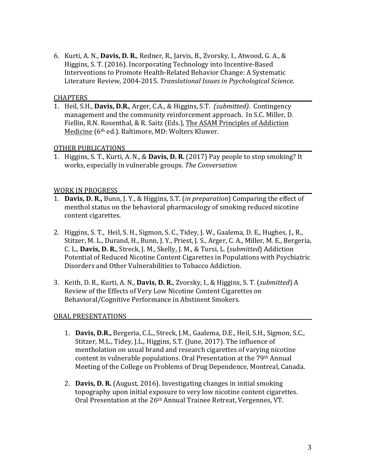6. Kurti, A. N., **Davis, D. R.**, Redner, R., Jarvis, B., Zvorsky, I., Atwood, G. A., & Higgins, S. T. (2016). Incorporating Technology into Incentive-Based Interventions to Promote Health-Related Behavior Change: A Systematic Literature Review, 2004-2015. *Translational Issues in Psychological Science.* 

#### **CHAPTERS**

1. Heil, S.H., **Davis, D.R.**, Arger, C.A., & Higgins, S.T. *(submitted).* Contingency management and the community reinforcement approach. In S.C. Miller, D. Fiellin, R.N. Rosenthal, & R. Saitz (Eds.), The ASAM Principles of Addiction Medicine (6<sup>th</sup> ed.). Baltimore, MD: Wolters Kluwer.

### OTHER PUBLICATIONS

1. Higgins, S. T., Kurti, A. N., & Davis, D. R. (2017) Pay people to stop smoking? It works, especially in vulnerable groups. *The Conversation*

#### **WORK IN PROGRESS**

- 1. **Davis, D. R.,** Bunn, J. Y., & Higgins, S.T. *(in preparation*) Comparing the effect of menthol status on the behavioral pharmacology of smoking reduced nicotine content cigarettes.
- 2. Higgins, S. T., Heil, S. H., Sigmon, S. C., Tidey, J. W., Gaalema, D. E., Hughes, J., R., Stitzer, M. L., Durand, H., Bunn, J. Y., Priest, J. S., Arger, C. A., Miller, M. E., Bergeria, C. L., **Davis, D. R.**, Streck, J. M., Skelly, J. M., & Tursi, L. (*submitted*) Addiction Potential of Reduced Nicotine Content Cigarettes in Populations with Psychiatric Disorders and Other Vulnerabilities to Tobacco Addiction.
- 3. Keith, D. R., Kurti, A. N., **Davis, D. R.**, Zvorsky, I., & Higgins, S. T. *(submitted)* A Review of the Effects of Very Low Nicotine Content Cigarettes on Behavioral/Cognitive Performance in Abstinent Smokers.

### ORAL PRESENTATIONS

- 1. **Davis, D.R.,** Bergeria, C.L., Streck, J.M., Gaalema, D.E., Heil, S.H., Sigmon, S.C., Stitzer, M.L., Tidey, J.L., Higgins, S.T. (June, 2017). The influence of mentholation on usual brand and research cigarettes of varying nicotine content in vulnerable populations. Oral Presentation at the 79<sup>th</sup> Annual Meeting of the College on Problems of Drug Dependence, Montreal, Canada.
- 2. **Davis, D. R.** (August, 2016). Investigating changes in initial smoking topography upon initial exposure to very low nicotine content cigarettes. Oral Presentation at the 26<sup>th</sup> Annual Trainee Retreat, Vergennes, VT.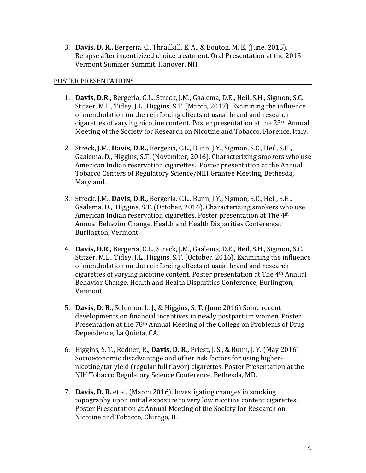3. **Davis, D. R.,** Bergeria, C., Thrailkill, E. A., & Bouton, M. E. (June, 2015). Relapse after incentivized choice treatment. Oral Presentation at the 2015 Vermont Summer Summit, Hanover, NH.

#### POSTER PRESENTATIONS

- 1. Davis, D.R., Bergeria, C.L., Streck, J.M., Gaalema, D.E., Heil, S.H., Sigmon, S.C., Stitzer, M.L., Tidey, J.L., Higgins, S.T. (March, 2017). Examining the influence of mentholation on the reinforcing effects of usual brand and research cigarettes of varying nicotine content. Poster presentation at the  $23<sup>rd</sup>$  Annual Meeting of the Society for Research on Nicotine and Tobacco, Florence, Italy.
- 2. Streck, J.M., **Davis, D.R.,** Bergeria, C.L., Bunn, J.Y., Sigmon, S.C., Heil, S.H., Gaalema, D., Higgins, S.T. (November, 2016). Characterizing smokers who use American Indian reservation cigarettes. Poster presentation at the Annual Tobacco Centers of Regulatory Science/NIH Grantee Meeting, Bethesda, Maryland.
- 3. Streck, J.M., Davis, D.R., Bergeria, C.L., Bunn, J.Y., Sigmon, S.C., Heil, S.H., Gaalema, D., Higgins, S.T. (October, 2016). Characterizing smokers who use American Indian reservation cigarettes. Poster presentation at The  $4<sup>th</sup>$ Annual Behavior Change, Health and Health Disparities Conference, Burlington, Vermont.
- 4. **Davis, D.R.,** Bergeria, C.L., Streck, J.M., Gaalema, D.E., Heil, S.H., Sigmon, S.C., Stitzer, M.L., Tidey, J.L., Higgins, S.T. (October, 2016). Examining the influence of mentholation on the reinforcing effects of usual brand and research cigarettes of varying nicotine content. Poster presentation at The  $4<sup>th</sup>$  Annual Behavior Change, Health and Health Disparities Conference, Burlington, Vermont.
- 5. **Davis, D. R.,** Solomon, L. J., & Higgins, S. T. (June 2016) Some recent developments on financial incentives in newly postpartum women. Poster Presentation at the 78<sup>th</sup> Annual Meeting of the College on Problems of Drug Dependence, La Quinta, CA.
- 6. Higgins, S. T., Redner, R., **Davis, D. R.,** Priest, J. S., & Bunn, J. Y. (May 2016) Socioeconomic disadvantage and other risk factors for using highernicotine/tar yield (regular full flavor) cigarettes. Poster Presentation at the NIH Tobacco Regulatory Science Conference, Bethesda, MD.
- 7. **Davis, D. R.** et al. (March 2016). Investigating changes in smoking topography upon initial exposure to very low nicotine content cigarettes. Poster Presentation at Annual Meeting of the Society for Research on Nicotine and Tobacco, Chicago, IL.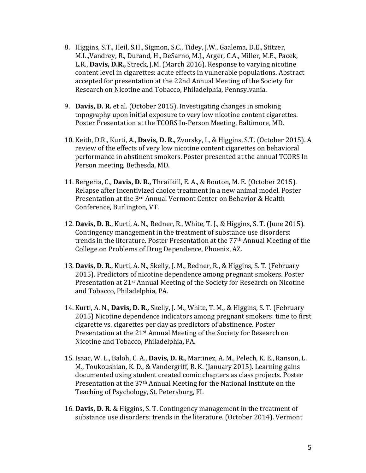- 8. Higgins, S.T., Heil, S.H., Sigmon, S.C., Tidey, J.W., Gaalema, D.E., Stitzer, M.L., Vandrey, R., Durand, H., DeSarno, M.J., Arger, C.A., Miller, M.E., Pacek, L.R., **Davis, D.R.,** Streck, J.M. (March 2016). Response to varying nicotine content level in cigarettes: acute effects in vulnerable populations. Abstract accepted for presentation at the 22nd Annual Meeting of the Society for Research on Nicotine and Tobacco, Philadelphia, Pennsylvania.
- 9. **Davis, D. R.** et al. (October 2015). Investigating changes in smoking topography upon initial exposure to very low nicotine content cigarettes. Poster Presentation at the TCORS In-Person Meeting, Baltimore, MD.
- 10. Keith, D.R., Kurti, A., **Davis, D. R.,** Zvorsky, I., & Higgins, S.T. (October 2015). A review of the effects of very low nicotine content cigarettes on behavioral performance in abstinent smokers. Poster presented at the annual TCORS In Person meeting, Bethesda, MD.
- 11. Bergeria, C., **Davis, D. R.,** Thrailkill, E. A., & Bouton, M. E. (October 2015). Relapse after incentivized choice treatment in a new animal model. Poster Presentation at the 3<sup>rd</sup> Annual Vermont Center on Behavior & Health Conference, Burlington, VT.
- 12. **Davis, D. R.**, Kurti, A. N., Redner, R., White, T. J., & Higgins, S. T. (June 2015). Contingency management in the treatment of substance use disorders: trends in the literature. Poster Presentation at the 77<sup>th</sup> Annual Meeting of the College on Problems of Drug Dependence, Phoenix, AZ.
- 13. Davis, D. R., Kurti, A. N., Skelly, J. M., Redner, R., & Higgins, S. T. (February 2015). Predictors of nicotine dependence among pregnant smokers. Poster Presentation at 21<sup>st</sup> Annual Meeting of the Society for Research on Nicotine and Tobacco, Philadelphia, PA.
- 14. Kurti, A. N., **Davis, D. R.,** Skelly, J. M., White, T. M., & Higgins, S. T. (February 2015) Nicotine dependence indicators among pregnant smokers: time to first cigarette vs. cigarettes per day as predictors of abstinence. Poster Presentation at the  $21<sup>st</sup>$  Annual Meeting of the Society for Research on Nicotine and Tobacco, Philadelphia, PA.
- 15. Isaac, W. L., Baloh, C. A., **Davis, D. R.**, Martinez, A. M., Pelech, K. E., Ranson, L. M., Toukoushian, K. D., & Vandergriff, R. K. (January 2015). Learning gains documented using student created comic chapters as class projects. Poster Presentation at the 37<sup>th</sup> Annual Meeting for the National Institute on the Teaching of Psychology, St. Petersburg, FL
- 16. **Davis, D. R.** & Higgins, S. T. Contingency management in the treatment of substance use disorders: trends in the literature. (October 2014). Vermont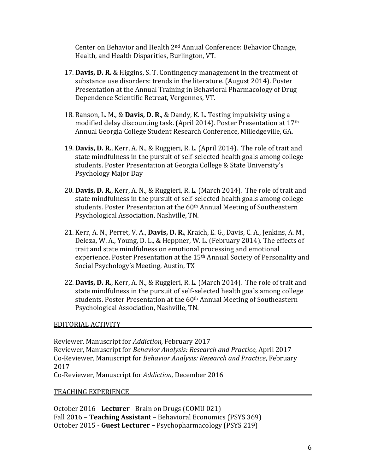Center on Behavior and Health  $2<sup>nd</sup>$  Annual Conference: Behavior Change, Health, and Health Disparities, Burlington, VT.

- 17. **Davis, D. R.** & Higgins, S. T. Contingency management in the treatment of substance use disorders: trends in the literature. (August 2014). Poster Presentation at the Annual Training in Behavioral Pharmacology of Drug Dependence Scientific Retreat, Vergennes, VT.
- 18. Ranson, L. M., & **Davis, D. R.**, & Dandy, K. L. Testing impulsivity using a modified delay discounting task. (April 2014). Poster Presentation at 17<sup>th</sup> Annual Georgia College Student Research Conference, Milledgeville, GA.
- 19. **Davis, D. R.**, Kerr, A. N., & Ruggieri, R. L. (April 2014). The role of trait and state mindfulness in the pursuit of self-selected health goals among college students. Poster Presentation at Georgia College & State University's Psychology Major Day
- 20. **Davis, D. R.**, Kerr, A. N., & Ruggieri, R. L. (March 2014). The role of trait and state mindfulness in the pursuit of self-selected health goals among college students. Poster Presentation at the 60<sup>th</sup> Annual Meeting of Southeastern Psychological Association, Nashville, TN.
- 21. Kerr, A. N., Perret, V. A., **Davis, D. R.**, Kraich, E. G., Davis, C. A., Jenkins, A. M., Deleza, W. A., Young, D. L., & Heppner, W. L. (February 2014). The effects of trait and state mindfulness on emotional processing and emotional experience. Poster Presentation at the 15<sup>th</sup> Annual Society of Personality and Social Psychology's Meeting, Austin, TX
- 22. **Davis, D. R.**, Kerr, A. N., & Ruggieri, R. L. (March 2014). The role of trait and state mindfulness in the pursuit of self-selected health goals among college students. Poster Presentation at the 60<sup>th</sup> Annual Meeting of Southeastern Psychological Association, Nashville, TN.

# EDITORIAL ACTIVITY

Reviewer, Manuscript for *Addiction*, February 2017 Reviewer, Manuscript for *Behavior Analysis: Research and Practice*, April 2017 Co-Reviewer, Manuscript for *Behavior Analysis: Research and Practice*, February 2017

Co-Reviewer, Manuscript for *Addiction,* December 2016

### TEACHING EXPERIENCE

October 2016 - Lecturer - Brain on Drugs (COMU 021) Fall 2016 - **Teaching Assistant** - Behavioral Economics (PSYS 369) October 2015 - **Guest Lecturer** – Psychopharmacology (PSYS 219)